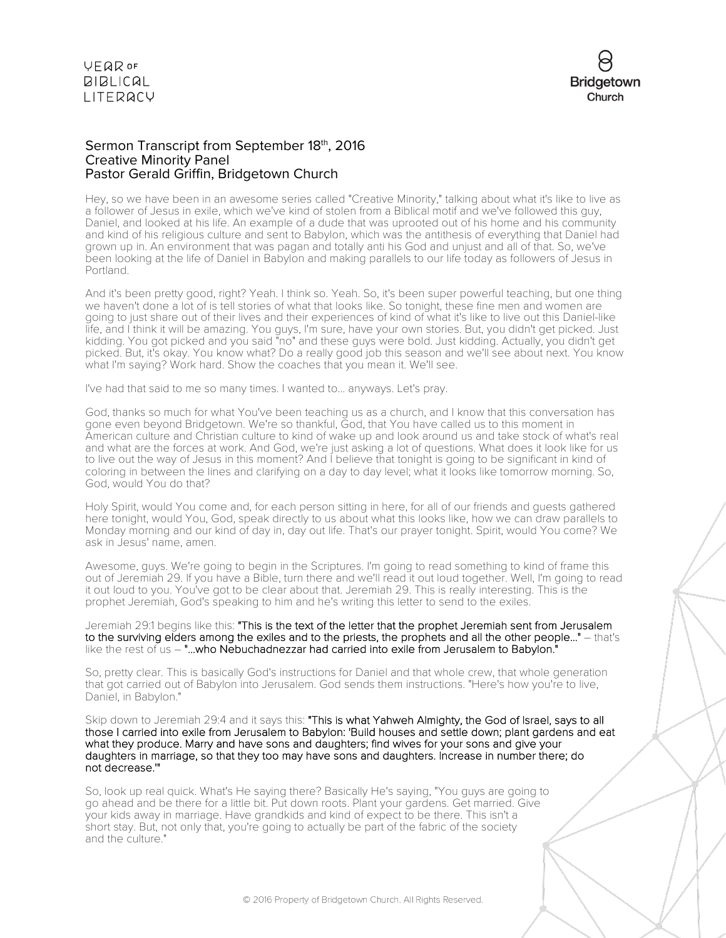

#### Sermon Transcript from September 18th, 2016 Creative Minority Panel Pastor Gerald Griffin, Bridgetown Church

Hey, so we have been in an awesome series called "Creative Minority," talking about what it's like to live as a follower of Jesus in exile, which we've kind of stolen from a Biblical motif and we've followed this guy, Daniel, and looked at his life. An example of a dude that was uprooted out of his home and his community and kind of his religious culture and sent to Babylon, which was the antithesis of everything that Daniel had grown up in. An environment that was pagan and totally anti his God and unjust and all of that. So, we've been looking at the life of Daniel in Babylon and making parallels to our life today as followers of Jesus in Portland.

And it's been pretty good, right? Yeah. I think so. Yeah. So, it's been super powerful teaching, but one thing we haven't done a lot of is tell stories of what that looks like. So tonight, these fine men and women are going to just share out of their lives and their experiences of kind of what it's like to live out this Daniel-like life, and I think it will be amazing. You guys, I'm sure, have your own stories. But, you didn't get picked. Just kidding. You got picked and you said "no" and these guys were bold. Just kidding. Actually, you didn't get picked. But, it's okay. You know what? Do a really good job this season and we'll see about next. You know what I'm saying? Work hard. Show the coaches that you mean it. We'll see.

I've had that said to me so many times. I wanted to... anyways. Let's pray.

God, thanks so much for what You've been teaching us as a church, and I know that this conversation has gone even beyond Bridgetown. We're so thankful, God, that You have called us to this moment in American culture and Christian culture to kind of wake up and look around us and take stock of what's real and what are the forces at work. And God, we're just asking a lot of questions. What does it look like for us to live out the way of Jesus in this moment? And I believe that tonight is going to be significant in kind of coloring in between the lines and clarifying on a day to day level; what it looks like tomorrow morning. So, God, would You do that?

Holy Spirit, would You come and, for each person sitting in here, for all of our friends and guests gathered here tonight, would You, God, speak directly to us about what this looks like, how we can draw parallels to Monday morning and our kind of day in, day out life. That's our prayer tonight. Spirit, would You come? We ask in Jesus' name, amen.

Awesome, guys. We're going to begin in the Scriptures. I'm going to read something to kind of frame this out of Jeremiah 29. If you have a Bible, turn there and we'll read it out loud together. Well, I'm going to read it out loud to you. You've got to be clear about that. Jeremiah 29. This is really interesting. This is the prophet Jeremiah, God's speaking to him and he's writing this letter to send to the exiles.

Jeremiah 29:1 begins like this: "This is the text of the letter that the prophet Jeremiah sent from Jerusalem to the surviving elders among the exiles and to the priests, the prophets and all the other people..." – that's like the rest of us - "...who Nebuchadnezzar had carried into exile from Jerusalem to Babylon."

So, pretty clear. This is basically God's instructions for Daniel and that whole crew, that whole generation that got carried out of Babylon into Jerusalem. God sends them instructions. "Here's how you're to live, Daniel, in Babylon."

Skip down to Jeremiah 29:4 and it says this: "This is what Yahweh Almighty, the God of Israel, says to all those I carried into exile from Jerusalem to Babylon: 'Build houses and settle down; plant gardens and eat what they produce. Marry and have sons and daughters; find wives for your sons and give your daughters in marriage, so that they too may have sons and daughters. Increase in number there; do not decrease.'"

So, look up real quick. What's He saying there? Basically He's saying, "You guys are going to go ahead and be there for a little bit. Put down roots. Plant your gardens. Get married. Give your kids away in marriage. Have grandkids and kind of expect to be there. This isn't a short stay. But, not only that, you're going to actually be part of the fabric of the society and the culture."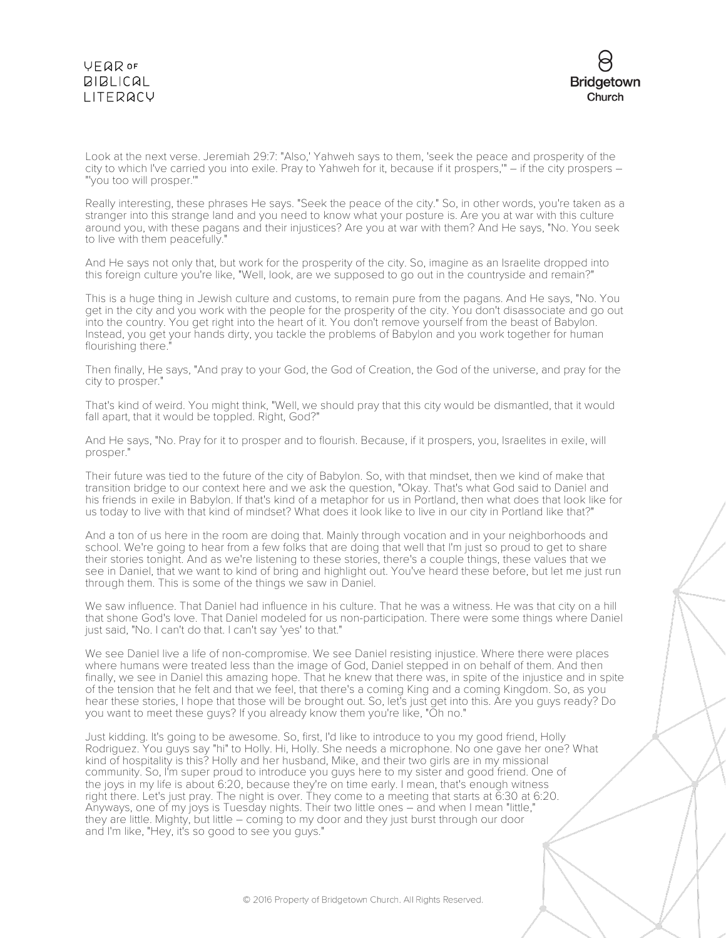

Look at the next verse. Jeremiah 29:7: "Also,' Yahweh says to them, 'seek the peace and prosperity of the city to which I've carried you into exile. Pray to Yahweh for it, because if it prospers,'" – if the city prospers – "'you too will prosper.'"

Really interesting, these phrases He says. "Seek the peace of the city." So, in other words, you're taken as a stranger into this strange land and you need to know what your posture is. Are you at war with this culture around you, with these pagans and their injustices? Are you at war with them? And He says, "No. You seek to live with them peacefully."

And He says not only that, but work for the prosperity of the city. So, imagine as an Israelite dropped into this foreign culture you're like, "Well, look, are we supposed to go out in the countryside and remain?"

This is a huge thing in Jewish culture and customs, to remain pure from the pagans. And He says, "No. You get in the city and you work with the people for the prosperity of the city. You don't disassociate and go out into the country. You get right into the heart of it. You don't remove yourself from the beast of Babylon. Instead, you get your hands dirty, you tackle the problems of Babylon and you work together for human flourishing there."

Then finally, He says, "And pray to your God, the God of Creation, the God of the universe, and pray for the city to prosper."

That's kind of weird. You might think, "Well, we should pray that this city would be dismantled, that it would fall apart, that it would be toppled. Right, God?"

And He says, "No. Pray for it to prosper and to flourish. Because, if it prospers, you, Israelites in exile, will prosper."

Their future was tied to the future of the city of Babylon. So, with that mindset, then we kind of make that transition bridge to our context here and we ask the question, "Okay. That's what God said to Daniel and his friends in exile in Babylon. If that's kind of a metaphor for us in Portland, then what does that look like for us today to live with that kind of mindset? What does it look like to live in our city in Portland like that?"

And a ton of us here in the room are doing that. Mainly through vocation and in your neighborhoods and school. We're going to hear from a few folks that are doing that well that I'm just so proud to get to share their stories tonight. And as we're listening to these stories, there's a couple things, these values that we see in Daniel, that we want to kind of bring and highlight out. You've heard these before, but let me just run through them. This is some of the things we saw in Daniel.

We saw influence. That Daniel had influence in his culture. That he was a witness. He was that city on a hill that shone God's love. That Daniel modeled for us non-participation. There were some things where Daniel just said, "No. I can't do that. I can't say 'yes' to that."

We see Daniel live a life of non-compromise. We see Daniel resisting injustice. Where there were places where humans were treated less than the image of God, Daniel stepped in on behalf of them. And then finally, we see in Daniel this amazing hope. That he knew that there was, in spite of the injustice and in spite of the tension that he felt and that we feel, that there's a coming King and a coming Kingdom. So, as you hear these stories, I hope that those will be brought out. So, let's just get into this. Are you guys ready? Do you want to meet these guys? If you already know them you're like, "Oh no."

Just kidding. It's going to be awesome. So, first, I'd like to introduce to you my good friend, Holly Rodriguez. You guys say "hi" to Holly. Hi, Holly. She needs a microphone. No one gave her one? What kind of hospitality is this? Holly and her husband, Mike, and their two girls are in my missional community. So, I'm super proud to introduce you guys here to my sister and good friend. One of the joys in my life is about 6:20, because they're on time early. I mean, that's enough witness right there. Let's just pray. The night is over. They come to a meeting that starts at 6:30 at 6:20. Anyways, one of my joys is Tuesday nights. Their two little ones – and when I mean "little," they are little. Mighty, but little – coming to my door and they just burst through our door and I'm like, "Hey, it's so good to see you guys."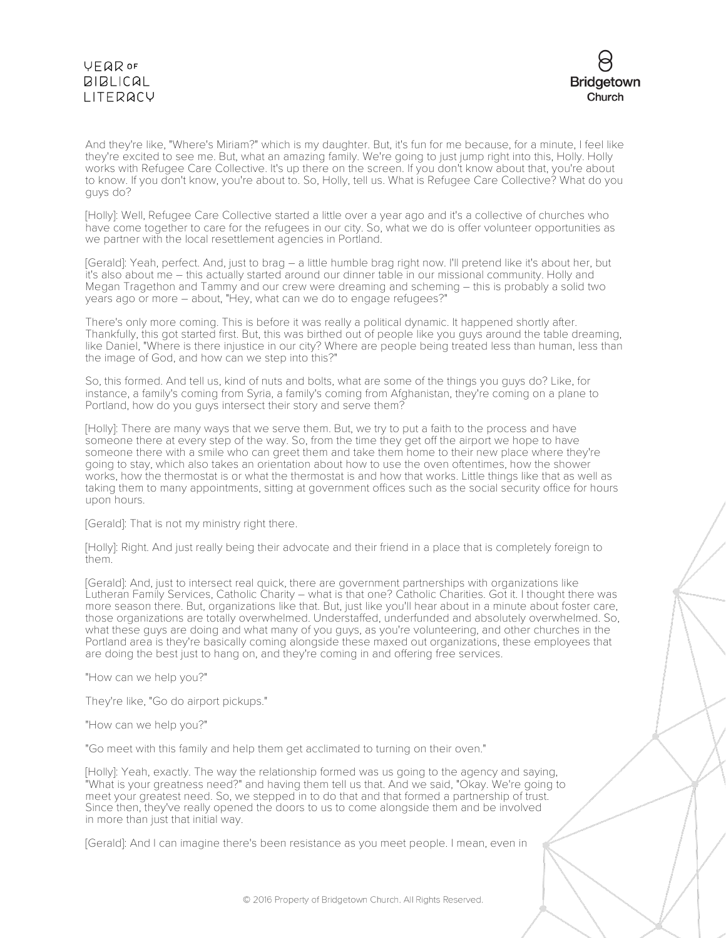

And they're like, "Where's Miriam?" which is my daughter. But, it's fun for me because, for a minute, I feel like they're excited to see me. But, what an amazing family. We're going to just jump right into this, Holly. Holly works with Refugee Care Collective. It's up there on the screen. If you don't know about that, you're about to know. If you don't know, you're about to. So, Holly, tell us. What is Refugee Care Collective? What do you guys do?

[Holly]: Well, Refugee Care Collective started a little over a year ago and it's a collective of churches who have come together to care for the refugees in our city. So, what we do is offer volunteer opportunities as we partner with the local resettlement agencies in Portland.

[Gerald]: Yeah, perfect. And, just to brag – a little humble brag right now. I'll pretend like it's about her, but it's also about me – this actually started around our dinner table in our missional community. Holly and Megan Tragethon and Tammy and our crew were dreaming and scheming – this is probably a solid two years ago or more – about, "Hey, what can we do to engage refugees?"

There's only more coming. This is before it was really a political dynamic. It happened shortly after. Thankfully, this got started first. But, this was birthed out of people like you guys around the table dreaming, like Daniel, "Where is there injustice in our city? Where are people being treated less than human, less than the image of God, and how can we step into this?"

So, this formed. And tell us, kind of nuts and bolts, what are some of the things you guys do? Like, for instance, a family's coming from Syria, a family's coming from Afghanistan, they're coming on a plane to Portland, how do you guys intersect their story and serve them?

[Holly]: There are many ways that we serve them. But, we try to put a faith to the process and have someone there at every step of the way. So, from the time they get off the airport we hope to have someone there with a smile who can greet them and take them home to their new place where they're going to stay, which also takes an orientation about how to use the oven oftentimes, how the shower works, how the thermostat is or what the thermostat is and how that works. Little things like that as well as taking them to many appointments, sitting at government offices such as the social security office for hours upon hours.

[Gerald]: That is not my ministry right there.

[Holly]: Right. And just really being their advocate and their friend in a place that is completely foreign to them.

[Gerald]: And, just to intersect real quick, there are government partnerships with organizations like Lutheran Family Services, Catholic Charity – what is that one? Catholic Charities. Got it. I thought there was more season there. But, organizations like that. But, just like you'll hear about in a minute about foster care, those organizations are totally overwhelmed. Understaffed, underfunded and absolutely overwhelmed. So, what these guys are doing and what many of you guys, as you're volunteering, and other churches in the Portland area is they're basically coming alongside these maxed out organizations, these employees that are doing the best just to hang on, and they're coming in and offering free services.

"How can we help you?"

They're like, "Go do airport pickups."

"How can we help you?"

"Go meet with this family and help them get acclimated to turning on their oven."

[Holly]: Yeah, exactly. The way the relationship formed was us going to the agency and saying, "What is your greatness need?" and having them tell us that. And we said, "Okay. We're going to meet your greatest need. So, we stepped in to do that and that formed a partnership of trust. Since then, they've really opened the doors to us to come alongside them and be involved in more than just that initial way.

[Gerald]: And I can imagine there's been resistance as you meet people. I mean, even in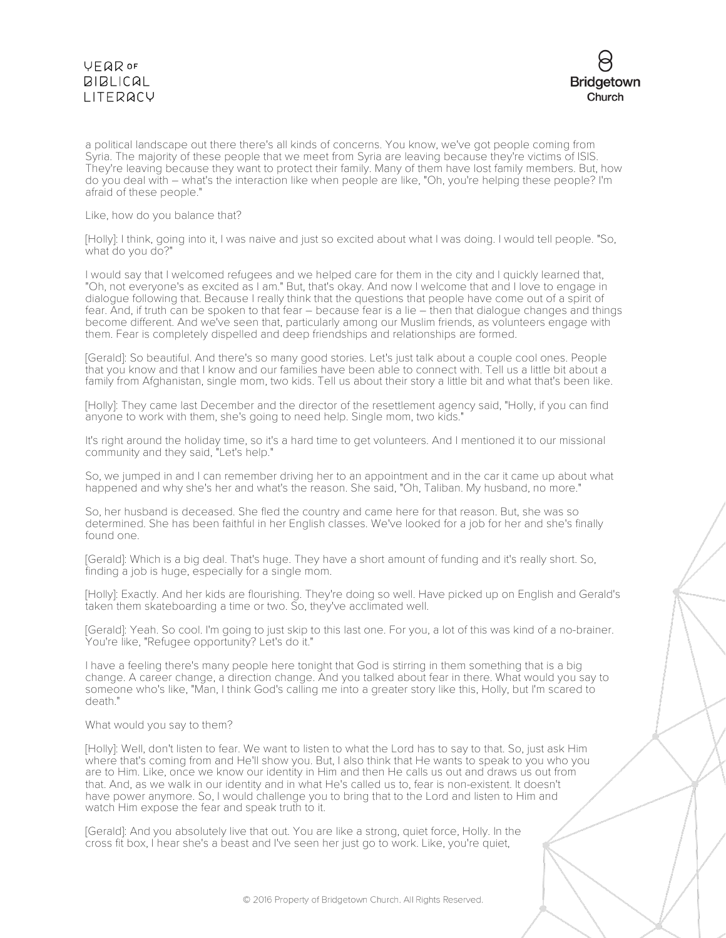

a political landscape out there there's all kinds of concerns. You know, we've got people coming from Syria. The majority of these people that we meet from Syria are leaving because they're victims of ISIS. They're leaving because they want to protect their family. Many of them have lost family members. But, how do you deal with – what's the interaction like when people are like, "Oh, you're helping these people? I'm afraid of these people."

Like, how do you balance that?

[Holly]: I think, going into it, I was naive and just so excited about what I was doing. I would tell people. "So, what do you do?"

I would say that I welcomed refugees and we helped care for them in the city and I quickly learned that, "Oh, not everyone's as excited as I am." But, that's okay. And now I welcome that and I love to engage in dialogue following that. Because I really think that the questions that people have come out of a spirit of fear. And, if truth can be spoken to that fear – because fear is a lie – then that dialogue changes and things become different. And we've seen that, particularly among our Muslim friends, as volunteers engage with them. Fear is completely dispelled and deep friendships and relationships are formed.

[Gerald]: So beautiful. And there's so many good stories. Let's just talk about a couple cool ones. People that you know and that I know and our families have been able to connect with. Tell us a little bit about a family from Afghanistan, single mom, two kids. Tell us about their story a little bit and what that's been like.

[Holly]: They came last December and the director of the resettlement agency said, "Holly, if you can find anyone to work with them, she's going to need help. Single mom, two kids."

It's right around the holiday time, so it's a hard time to get volunteers. And I mentioned it to our missional community and they said, "Let's help."

So, we jumped in and I can remember driving her to an appointment and in the car it came up about what happened and why she's her and what's the reason. She said, "Oh, Taliban. My husband, no more."

So, her husband is deceased. She fled the country and came here for that reason. But, she was so determined. She has been faithful in her English classes. We've looked for a job for her and she's finally found one.

[Gerald]: Which is a big deal. That's huge. They have a short amount of funding and it's really short. So, finding a job is huge, especially for a single mom.

[Holly]: Exactly. And her kids are flourishing. They're doing so well. Have picked up on English and Gerald's taken them skateboarding a time or two. So, they've acclimated well.

[Gerald]: Yeah. So cool. I'm going to just skip to this last one. For you, a lot of this was kind of a no-brainer. You're like, "Refugee opportunity? Let's do it."

I have a feeling there's many people here tonight that God is stirring in them something that is a big change. A career change, a direction change. And you talked about fear in there. What would you say to someone who's like, "Man, I think God's calling me into a greater story like this, Holly, but I'm scared to death."

#### What would you say to them?

[Holly]: Well, don't listen to fear. We want to listen to what the Lord has to say to that. So, just ask Him where that's coming from and He'll show you. But, I also think that He wants to speak to you who you are to Him. Like, once we know our identity in Him and then He calls us out and draws us out from that. And, as we walk in our identity and in what He's called us to, fear is non-existent. It doesn't have power anymore. So, I would challenge you to bring that to the Lord and listen to Him and watch Him expose the fear and speak truth to it.

[Gerald]: And you absolutely live that out. You are like a strong, quiet force, Holly. In the cross fit box, I hear she's a beast and I've seen her just go to work. Like, you're quiet,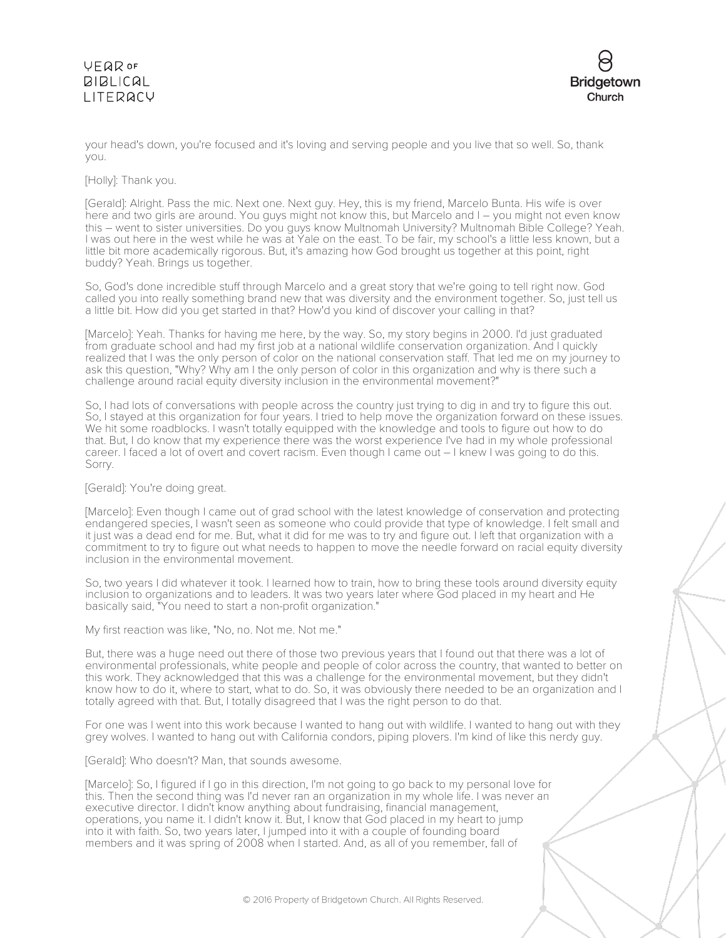

your head's down, you're focused and it's loving and serving people and you live that so well. So, thank you.

[Holly]: Thank you.

[Gerald]: Alright. Pass the mic. Next one. Next guy. Hey, this is my friend, Marcelo Bunta. His wife is over here and two girls are around. You guys might not know this, but Marcelo and I – you might not even know this – went to sister universities. Do you guys know Multnomah University? Multnomah Bible College? Yeah. I was out here in the west while he was at Yale on the east. To be fair, my school's a little less known, but a little bit more academically rigorous. But, it's amazing how God brought us together at this point, right buddy? Yeah. Brings us together.

So, God's done incredible stuff through Marcelo and a great story that we're going to tell right now. God called you into really something brand new that was diversity and the environment together. So, just tell us a little bit. How did you get started in that? How'd you kind of discover your calling in that?

[Marcelo]: Yeah. Thanks for having me here, by the way. So, my story begins in 2000. I'd just graduated from graduate school and had my first job at a national wildlife conservation organization. And I quickly realized that I was the only person of color on the national conservation staff. That led me on my journey to ask this question, "Why? Why am I the only person of color in this organization and why is there such a challenge around racial equity diversity inclusion in the environmental movement?"

So, I had lots of conversations with people across the country just trying to dig in and try to figure this out. So, I stayed at this organization for four years. I tried to help move the organization forward on these issues. We hit some roadblocks. I wasn't totally equipped with the knowledge and tools to figure out how to do that. But, I do know that my experience there was the worst experience I've had in my whole professional career. I faced a lot of overt and covert racism. Even though I came out – I knew I was going to do this. Sorry.

[Gerald]: You're doing great.

[Marcelo]: Even though I came out of grad school with the latest knowledge of conservation and protecting endangered species, I wasn't seen as someone who could provide that type of knowledge. I felt small and it just was a dead end for me. But, what it did for me was to try and figure out. I left that organization with a commitment to try to figure out what needs to happen to move the needle forward on racial equity diversity inclusion in the environmental movement.

So, two years I did whatever it took. I learned how to train, how to bring these tools around diversity equity inclusion to organizations and to leaders. It was two years later where God placed in my heart and He basically said, "You need to start a non-profit organization."

My first reaction was like, "No, no. Not me. Not me."

But, there was a huge need out there of those two previous years that I found out that there was a lot of environmental professionals, white people and people of color across the country, that wanted to better on this work. They acknowledged that this was a challenge for the environmental movement, but they didn't know how to do it, where to start, what to do. So, it was obviously there needed to be an organization and I totally agreed with that. But, I totally disagreed that I was the right person to do that.

For one was I went into this work because I wanted to hang out with wildlife. I wanted to hang out with they grey wolves. I wanted to hang out with California condors, piping plovers. I'm kind of like this nerdy guy.

[Gerald]: Who doesn't? Man, that sounds awesome.

[Marcelo]: So, I figured if I go in this direction, I'm not going to go back to my personal love for this. Then the second thing was I'd never ran an organization in my whole life. I was never an executive director. I didn't know anything about fundraising, financial management, operations, you name it. I didn't know it. But, I know that God placed in my heart to jump into it with faith. So, two years later, I jumped into it with a couple of founding board members and it was spring of 2008 when I started. And, as all of you remember, fall of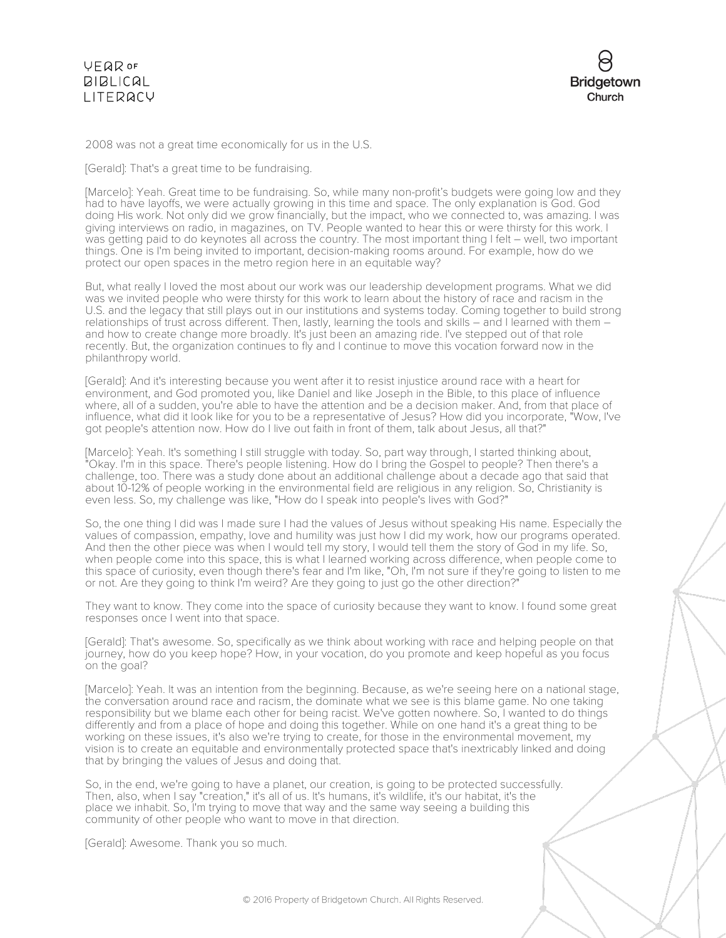

2008 was not a great time economically for us in the U.S.

[Gerald]: That's a great time to be fundraising.

[Marcelo]: Yeah. Great time to be fundraising. So, while many non-profit's budgets were going low and they had to have layoffs, we were actually growing in this time and space. The only explanation is God. God doing His work. Not only did we grow financially, but the impact, who we connected to, was amazing. I was giving interviews on radio, in magazines, on TV. People wanted to hear this or were thirsty for this work. I was getting paid to do keynotes all across the country. The most important thing I felt – well, two important things. One is I'm being invited to important, decision-making rooms around. For example, how do we protect our open spaces in the metro region here in an equitable way?

But, what really I loved the most about our work was our leadership development programs. What we did was we invited people who were thirsty for this work to learn about the history of race and racism in the U.S. and the legacy that still plays out in our institutions and systems today. Coming together to build strong relationships of trust across different. Then, lastly, learning the tools and skills – and I learned with them – and how to create change more broadly. It's just been an amazing ride. I've stepped out of that role recently. But, the organization continues to fly and I continue to move this vocation forward now in the philanthropy world.

[Gerald]: And it's interesting because you went after it to resist injustice around race with a heart for environment, and God promoted you, like Daniel and like Joseph in the Bible, to this place of influence where, all of a sudden, you're able to have the attention and be a decision maker. And, from that place of influence, what did it look like for you to be a representative of Jesus? How did you incorporate, "Wow, I've got people's attention now. How do I live out faith in front of them, talk about Jesus, all that?"

[Marcelo]: Yeah. It's something I still struggle with today. So, part way through, I started thinking about, "Okay. I'm in this space. There's people listening. How do I bring the Gospel to people? Then there's a challenge, too. There was a study done about an additional challenge about a decade ago that said that about 10-12% of people working in the environmental field are religious in any religion. So, Christianity is even less. So, my challenge was like, "How do I speak into people's lives with God?"

So, the one thing I did was I made sure I had the values of Jesus without speaking His name. Especially the values of compassion, empathy, love and humility was just how I did my work, how our programs operated. And then the other piece was when I would tell my story, I would tell them the story of God in my life. So, when people come into this space, this is what I learned working across difference, when people come to this space of curiosity, even though there's fear and I'm like, "Oh, I'm not sure if they're going to listen to me or not. Are they going to think I'm weird? Are they going to just go the other direction?"

They want to know. They come into the space of curiosity because they want to know. I found some great responses once I went into that space.

[Gerald]: That's awesome. So, specifically as we think about working with race and helping people on that journey, how do you keep hope? How, in your vocation, do you promote and keep hopeful as you focus on the goal?

[Marcelo]: Yeah. It was an intention from the beginning. Because, as we're seeing here on a national stage, the conversation around race and racism, the dominate what we see is this blame game. No one taking responsibility but we blame each other for being racist. We've gotten nowhere. So, I wanted to do things differently and from a place of hope and doing this together. While on one hand it's a great thing to be working on these issues, it's also we're trying to create, for those in the environmental movement, my vision is to create an equitable and environmentally protected space that's inextricably linked and doing that by bringing the values of Jesus and doing that.

So, in the end, we're going to have a planet, our creation, is going to be protected successfully. Then, also, when I say "creation," it's all of us. It's humans, it's wildlife, it's our habitat, it's the place we inhabit. So, I'm trying to move that way and the same way seeing a building this community of other people who want to move in that direction.

[Gerald]: Awesome. Thank you so much.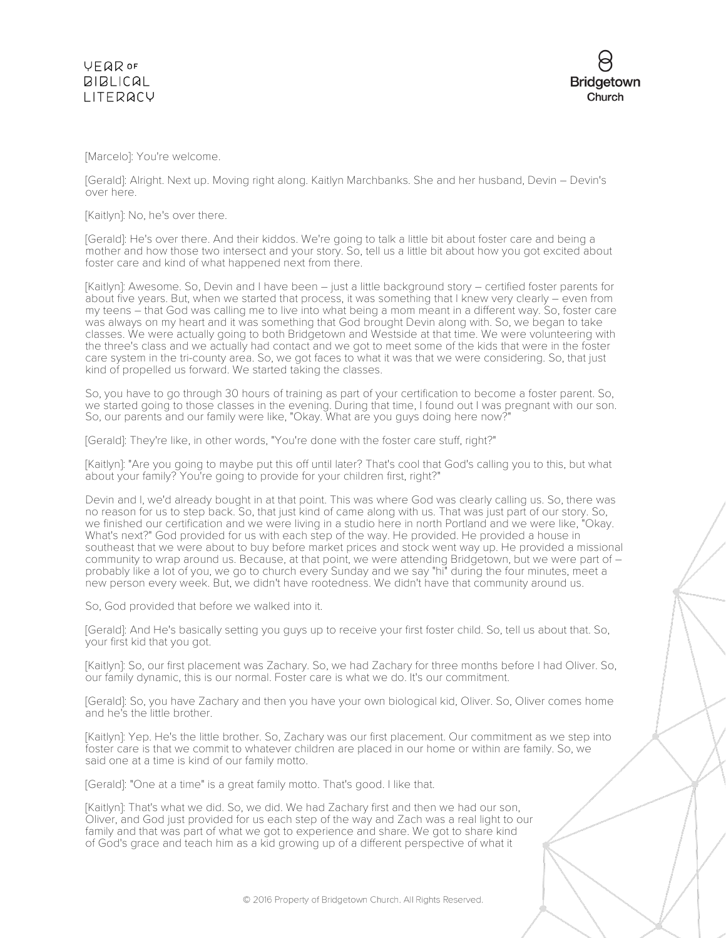



[Marcelo]: You're welcome.

[Gerald]: Alright. Next up. Moving right along. Kaitlyn Marchbanks. She and her husband, Devin – Devin's over here.

[Kaitlyn]: No, he's over there.

[Gerald]: He's over there. And their kiddos. We're going to talk a little bit about foster care and being a mother and how those two intersect and your story. So, tell us a little bit about how you got excited about foster care and kind of what happened next from there.

[Kaitlyn]: Awesome. So, Devin and I have been – just a little background story – certified foster parents for about five years. But, when we started that process, it was something that I knew very clearly – even from my teens – that God was calling me to live into what being a mom meant in a different way. So, foster care was always on my heart and it was something that God brought Devin along with. So, we began to take classes. We were actually going to both Bridgetown and Westside at that time. We were volunteering with the three's class and we actually had contact and we got to meet some of the kids that were in the foster care system in the tri-county area. So, we got faces to what it was that we were considering. So, that just kind of propelled us forward. We started taking the classes.

So, you have to go through 30 hours of training as part of your certification to become a foster parent. So, we started going to those classes in the evening. During that time, I found out I was pregnant with our son. So, our parents and our family were like, "Okay. What are you guys doing here now?"

[Gerald]: They're like, in other words, "You're done with the foster care stuff, right?"

[Kaitlyn]: "Are you going to maybe put this off until later? That's cool that God's calling you to this, but what about your family? You're going to provide for your children first, right?"

Devin and I, we'd already bought in at that point. This was where God was clearly calling us. So, there was no reason for us to step back. So, that just kind of came along with us. That was just part of our story. So, we finished our certification and we were living in a studio here in north Portland and we were like, "Okay. What's next?" God provided for us with each step of the way. He provided. He provided a house in southeast that we were about to buy before market prices and stock went way up. He provided a missional community to wrap around us. Because, at that point, we were attending Bridgetown, but we were part of – probably like a lot of you, we go to church every Sunday and we say "hi" during the four minutes, meet a new person every week. But, we didn't have rootedness. We didn't have that community around us.

So, God provided that before we walked into it.

[Gerald]: And He's basically setting you guys up to receive your first foster child. So, tell us about that. So, your first kid that you got.

[Kaitlyn]: So, our first placement was Zachary. So, we had Zachary for three months before I had Oliver. So, our family dynamic, this is our normal. Foster care is what we do. It's our commitment.

[Gerald]: So, you have Zachary and then you have your own biological kid, Oliver. So, Oliver comes home and he's the little brother.

[Kaitlyn]: Yep. He's the little brother. So, Zachary was our first placement. Our commitment as we step into foster care is that we commit to whatever children are placed in our home or within are family. So, we said one at a time is kind of our family motto.

[Gerald]: "One at a time" is a great family motto. That's good. I like that.

[Kaitlyn]: That's what we did. So, we did. We had Zachary first and then we had our son, Oliver, and God just provided for us each step of the way and Zach was a real light to our family and that was part of what we got to experience and share. We got to share kind of God's grace and teach him as a kid growing up of a different perspective of what it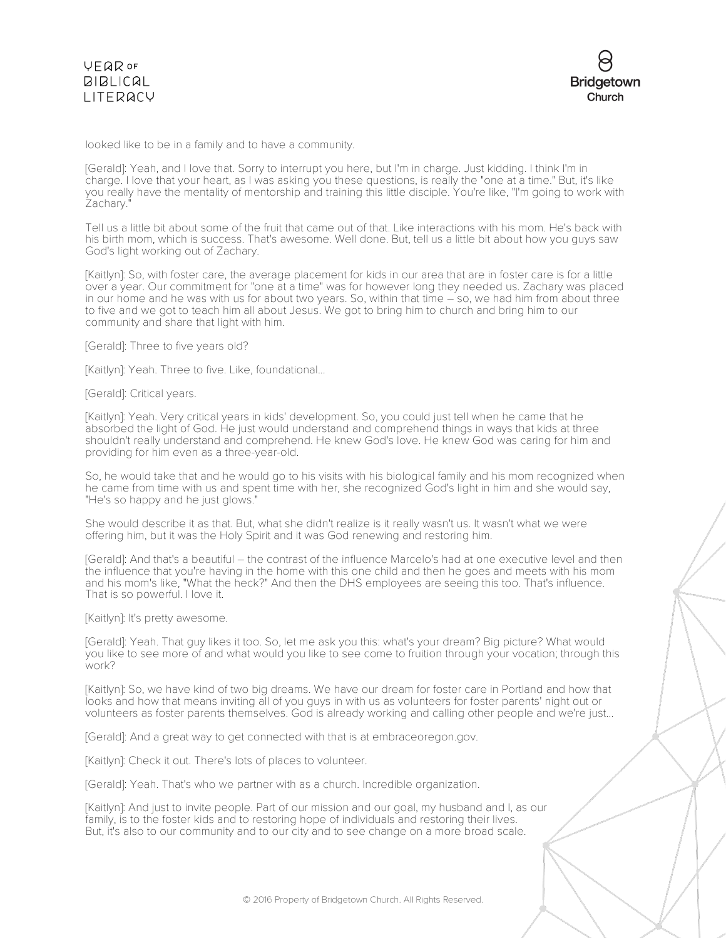looked like to be in a family and to have a community.

[Gerald]: Yeah, and I love that. Sorry to interrupt you here, but I'm in charge. Just kidding. I think I'm in charge. I love that your heart, as I was asking you these questions, is really the "one at a time." But, it's like you really have the mentality of mentorship and training this little disciple. You're like, "I'm going to work with Zachary."

Tell us a little bit about some of the fruit that came out of that. Like interactions with his mom. He's back with his birth mom, which is success. That's awesome. Well done. But, tell us a little bit about how you guys saw God's light working out of Zachary.

[Kaitlyn]: So, with foster care, the average placement for kids in our area that are in foster care is for a little over a year. Our commitment for "one at a time" was for however long they needed us. Zachary was placed in our home and he was with us for about two years. So, within that time – so, we had him from about three to five and we got to teach him all about Jesus. We got to bring him to church and bring him to our community and share that light with him.

[Gerald]: Three to five years old?

[Kaitlyn]: Yeah. Three to five. Like, foundational...

[Gerald]: Critical years.

[Kaitlyn]: Yeah. Very critical years in kids' development. So, you could just tell when he came that he absorbed the light of God. He just would understand and comprehend things in ways that kids at three shouldn't really understand and comprehend. He knew God's love. He knew God was caring for him and providing for him even as a three-year-old.

So, he would take that and he would go to his visits with his biological family and his mom recognized when he came from time with us and spent time with her, she recognized God's light in him and she would say, "He's so happy and he just glows."

She would describe it as that. But, what she didn't realize is it really wasn't us. It wasn't what we were offering him, but it was the Holy Spirit and it was God renewing and restoring him.

[Gerald]: And that's a beautiful – the contrast of the influence Marcelo's had at one executive level and then the influence that you're having in the home with this one child and then he goes and meets with his mom and his mom's like, "What the heck?" And then the DHS employees are seeing this too. That's influence. That is so powerful. I love it.

[Kaitlyn]: It's pretty awesome.

[Gerald]: Yeah. That guy likes it too. So, let me ask you this: what's your dream? Big picture? What would you like to see more of and what would you like to see come to fruition through your vocation; through this work?

[Kaitlyn]: So, we have kind of two big dreams. We have our dream for foster care in Portland and how that looks and how that means inviting all of you guys in with us as volunteers for foster parents' night out or volunteers as foster parents themselves. God is already working and calling other people and we're just...

[Gerald]: And a great way to get connected with that is at embraceoregon.gov.

[Kaitlyn]: Check it out. There's lots of places to volunteer.

[Gerald]: Yeah. That's who we partner with as a church. Incredible organization.

[Kaitlyn]: And just to invite people. Part of our mission and our goal, my husband and I, as our family, is to the foster kids and to restoring hope of individuals and restoring their lives. But, it's also to our community and to our city and to see change on a more broad scale.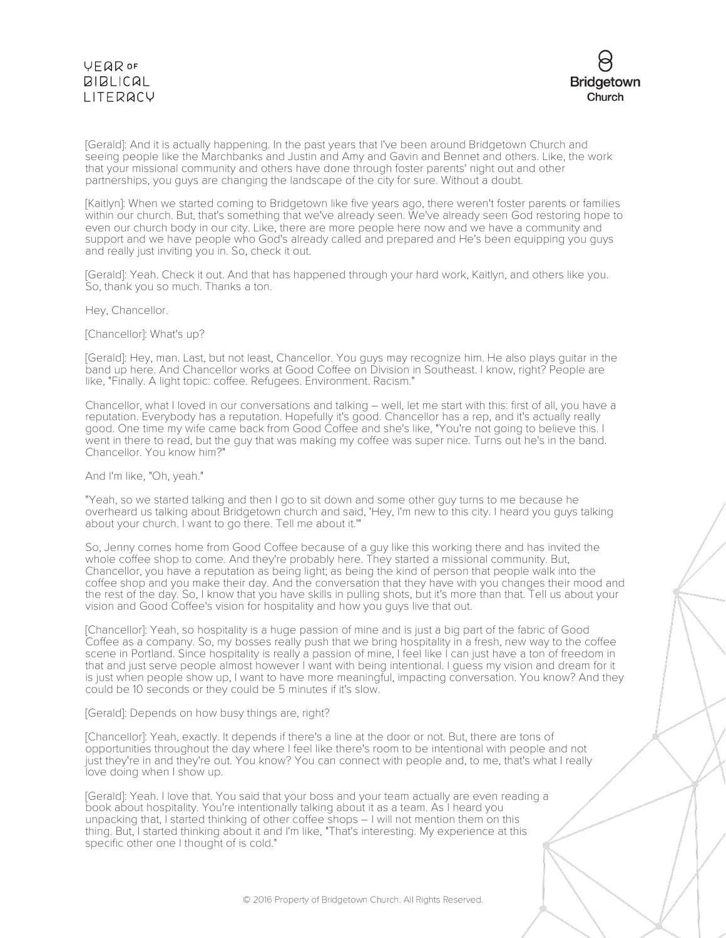

[Gerald]: And it is actually happening. In the past years that I've been around Bridgetown Church and seeing people like the Marchbanks and Justin and Amy and Gavin and Bennet and others. Like, the work that your missional community and others have done through foster parents' night out and other partnerships, you guys are changing the landscape of the city for sure. Without a doubt.

[Kaitlyn]: When we started coming to Bridgetown like five years ago, there weren't foster parents or families within our church. But, that's something that we've already seen. We've already seen God restoring hope to even our church body in our city. Like, there are more people here now and we have a community and support and we have people who God's already called and prepared and He's been equipping you guys and really just inviting you in. So, check it out.

[Gerald]: Yeah. Check it out. And that has happened through your hard work, Kaitlyn, and others like you. So, thank you so much. Thanks a ton.

#### Hey, Chancellor.

#### [Chancellor]: What's up?

[Gerald]: Hey, man. Last, but not least, Chancellor. You guys may recognize him. He also plays guitar in the band up here. And Chancellor works at Good Coffee on Division in Southeast. I know, right? People are like, "Finally. A light topic: coffee. Refugees. Environment. Racism."

Chancellor, what I loved in our conversations and talking – well, let me start with this: first of all, you have a reputation. Everybody has a reputation. Hopefully it's good. Chancellor has a rep, and it's actually really good. One time my wife came back from Good Coffee and she's like, "You're not going to believe this. I went in there to read, but the guy that was making my coffee was super nice. Turns out he's in the band. Chancellor. You know him?"

#### And I'm like, "Oh, yeah."

"Yeah, so we started talking and then I go to sit down and some other guy turns to me because he overheard us talking about Bridgetown church and said, 'Hey, I'm new to this city. I heard you guys talking about your church. I want to go there. Tell me about it.'"

So, Jenny comes home from Good Coffee because of a guy like this working there and has invited the whole coffee shop to come. And they're probably here. They started a missional community. But, Chancellor, you have a reputation as being light; as being the kind of person that people walk into the coffee shop and you make their day. And the conversation that they have with you changes their mood and the rest of the day. So, I know that you have skills in pulling shots, but it's more than that. Tell us about your vision and Good Coffee's vision for hospitality and how you guys live that out.

[Chancellor]: Yeah, so hospitality is a huge passion of mine and is just a big part of the fabric of Good Coffee as a company. So, my bosses really push that we bring hospitality in a fresh, new way to the coffee scene in Portland. Since hospitality is really a passion of mine, I feel like I can just have a ton of freedom in that and just serve people almost however I want with being intentional. I guess my vision and dream for it is just when people show up, I want to have more meaningful, impacting conversation. You know? And they could be 10 seconds or they could be 5 minutes if it's slow.

#### [Gerald]: Depends on how busy things are, right?

[Chancellor]: Yeah, exactly. It depends if there's a line at the door or not. But, there are tons of opportunities throughout the day where I feel like there's room to be intentional with people and not just they're in and they're out. You know? You can connect with people and, to me, that's what I really love doing when I show up.

[Gerald]: Yeah. I love that. You said that your boss and your team actually are even reading a book about hospitality. You're intentionally talking about it as a team. As I heard you unpacking that, I started thinking of other coffee shops – I will not mention them on this thing. But, I started thinking about it and I'm like, "That's interesting. My experience at this specific other one I thought of is cold."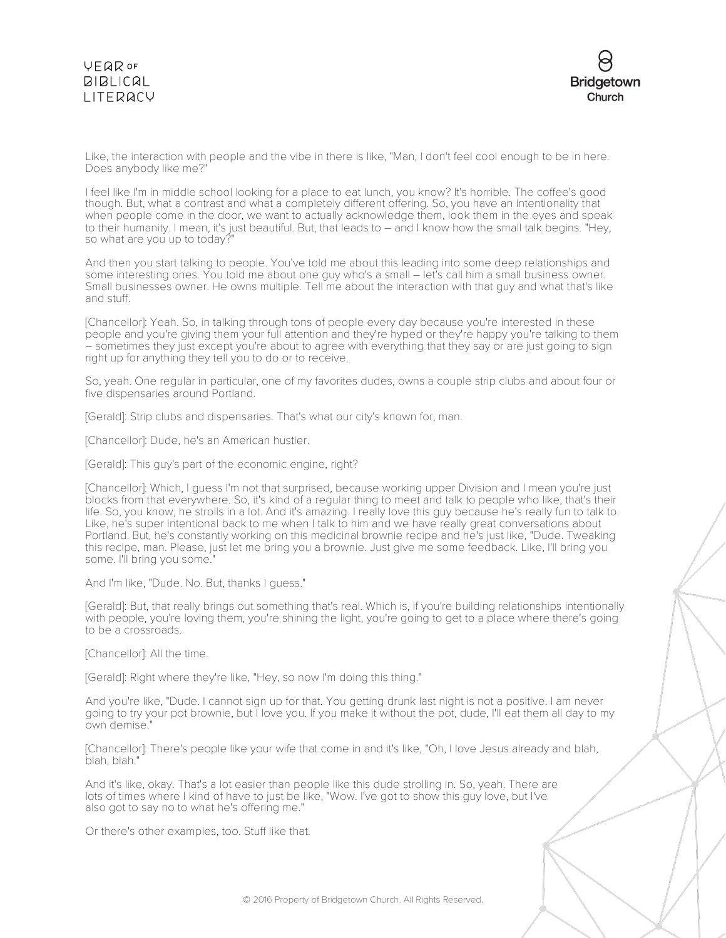

Like, the interaction with people and the vibe in there is like, "Man, I don't feel cool enough to be in here. Does anybody like me?"

I feel like I'm in middle school looking for a place to eat lunch, you know? It's horrible. The coffee's good though. But, what a contrast and what a completely different offering. So, you have an intentionality that when people come in the door, we want to actually acknowledge them, look them in the eyes and speak to their humanity. I mean, it's just beautiful. But, that leads to – and I know how the small talk begins. "Hey, so what are you up to today?"

And then you start talking to people. You've told me about this leading into some deep relationships and some interesting ones. You told me about one guy who's a small – let's call him a small business owner. Small businesses owner. He owns multiple. Tell me about the interaction with that guy and what that's like and stuff.

[Chancellor]: Yeah. So, in talking through tons of people every day because you're interested in these people and you're giving them your full attention and they're hyped or they're happy you're talking to them – sometimes they just except you're about to agree with everything that they say or are just going to sign right up for anything they tell you to do or to receive.

So, yeah. One regular in particular, one of my favorites dudes, owns a couple strip clubs and about four or five dispensaries around Portland.

[Gerald]: Strip clubs and dispensaries. That's what our city's known for, man.

[Chancellor]: Dude, he's an American hustler.

[Gerald]: This guy's part of the economic engine, right?

[Chancellor]: Which, I guess I'm not that surprised, because working upper Division and I mean you're just blocks from that everywhere. So, it's kind of a regular thing to meet and talk to people who like, that's their life. So, you know, he strolls in a lot. And it's amazing. I really love this guy because he's really fun to talk to. Like, he's super intentional back to me when I talk to him and we have really great conversations about Portland. But, he's constantly working on this medicinal brownie recipe and he's just like, "Dude. Tweaking this recipe, man. Please, just let me bring you a brownie. Just give me some feedback. Like, I'll bring you some. I'll bring you some."

And I'm like, "Dude. No. But, thanks I guess."

[Gerald]: But, that really brings out something that's real. Which is, if you're building relationships intentionally with people, you're loving them, you're shining the light, you're going to get to a place where there's going to be a crossroads.

[Chancellor]: All the time.

[Gerald]: Right where they're like, "Hey, so now I'm doing this thing."

And you're like, "Dude. I cannot sign up for that. You getting drunk last night is not a positive. I am never going to try your pot brownie, but I love you. If you make it without the pot, dude, I'll eat them all day to my own demise."

[Chancellor]: There's people like your wife that come in and it's like, "Oh, I love Jesus already and blah, blah, blah."

And it's like, okay. That's a lot easier than people like this dude strolling in. So, yeah. There are lots of times where I kind of have to just be like, "Wow. I've got to show this guy love, but I've also got to say no to what he's offering me."

Or there's other examples, too. Stuff like that.